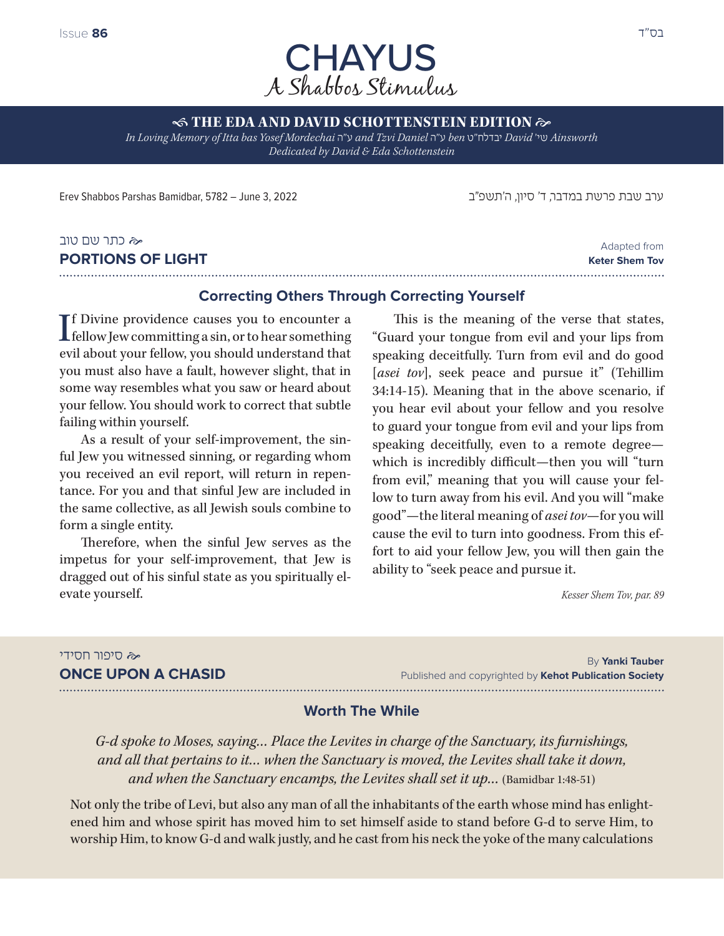

**STHE EDA AND DAVID SCHOTTENSTEIN EDITION**  $\approx$ *In Loving Memory of Itta bas Yosef Mordechai* ה"ע *and Tzvi Daniel* ה"ע *ben* ט"יבדלח *David* 'שי *Ainsworth Dedicated by David & Eda Schottenstein*

ערב שבת פרשת במדבר, ד' סיון, ה'תשפ״ב 2022 3, June – 5782 ,Bamidbar Parshas Shabbos Erev

#### כתר שם טוב **PORTIONS OF LIGHT**

Adapted from **Keter Shem Tov** 

## **Correcting Others Through Correcting Yourself**

If Divine providence causes you to encounter a<br>fellow Jew committing a sin, or to hear something  $\blacksquare$  fellow Jew committing a sin, or to hear something evil about your fellow, you should understand that you must also have a fault, however slight, that in some way resembles what you saw or heard about your fellow. You should work to correct that subtle failing within yourself.

As a result of your self-improvement, the sinful Jew you witnessed sinning, or regarding whom you received an evil report, will return in repentance. For you and that sinful Jew are included in the same collective, as all Jewish souls combine to form a single entity.

Therefore, when the sinful Jew serves as the impetus for your self-improvement, that Jew is dragged out of his sinful state as you spiritually elevate yourself.

This is the meaning of the verse that states, "Guard your tongue from evil and your lips from speaking deceitfully. Turn from evil and do good [*asei tov*], seek peace and pursue it" (Tehillim 34:14-15). Meaning that in the above scenario, if you hear evil about your fellow and you resolve to guard your tongue from evil and your lips from speaking deceitfully, even to a remote degree which is incredibly difficult—then you will "turn from evil," meaning that you will cause your fellow to turn away from his evil. And you will "make good"—the literal meaning of *asei tov*—for you will cause the evil to turn into goodness. From this effort to aid your fellow Jew, you will then gain the ability to "seek peace and pursue it.

*Kesser Shem Tov, par. 89*

# סיפור חסידי

**ONCE UPON A CHASID**

By **Yanki Tauber** Published and copyrighted by **Kehot Publication Society**

## **Worth The While**

*G‑d spoke to Moses, saying… Place the Levites in charge of the Sanctuary, its furnishings, and all that pertains to it… when the Sanctuary is moved, the Levites shall take it down, and when the Sanctuary encamps, the Levites shall set it up...* (Bamidbar 1:48-51)

Not only the tribe of Levi, but also any man of all the inhabitants of the earth whose mind has enlightened him and whose spirit has moved him to set himself aside to stand before G-d to serve Him, to worship Him, to know G-d and walk justly, and he cast from his neck the yoke of the many calculations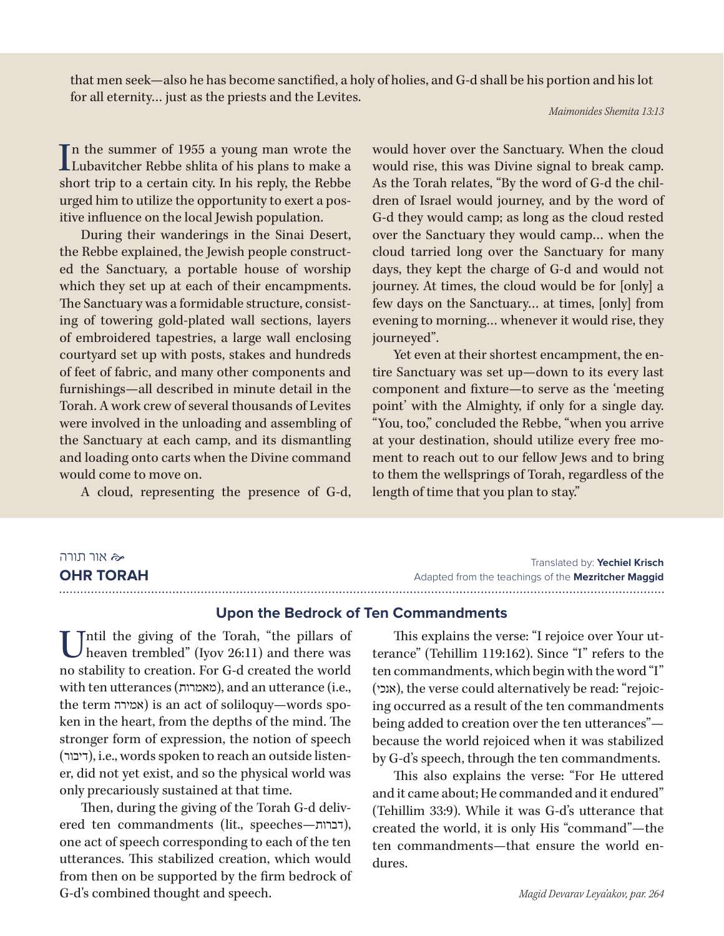that men seek—also he has become sanctified, a holy of holies, and G-d shall be his portion and his lot for all eternity… just as the priests and the Levites.

*Maimonides Shemita 13:13*

In the summer of 1955 a young man wrote the<br>Lubavitcher Rebbe shlita of his plans to make a n the summer of 1955 a young man wrote the short trip to a certain city. In his reply, the Rebbe urged him to utilize the opportunity to exert a positive influence on the local Jewish population.

During their wanderings in the Sinai Desert, the Rebbe explained, the Jewish people constructed the Sanctuary, a portable house of worship which they set up at each of their encampments. The Sanctuary was a formidable structure, consisting of towering gold-plated wall sections, layers of embroidered tapestries, a large wall enclosing courtyard set up with posts, stakes and hundreds of feet of fabric, and many other components and furnishings—all described in minute detail in the Torah. A work crew of several thousands of Levites were involved in the unloading and assembling of the Sanctuary at each camp, and its dismantling and loading onto carts when the Divine command would come to move on.

A cloud, representing the presence of G-d,

would hover over the Sanctuary. When the cloud would rise, this was Divine signal to break camp. As the Torah relates, "By the word of G-d the children of Israel would journey, and by the word of G-d they would camp; as long as the cloud rested over the Sanctuary they would camp… when the cloud tarried long over the Sanctuary for many days, they kept the charge of G-d and would not journey. At times, the cloud would be for [only] a few days on the Sanctuary… at times, [only] from evening to morning… whenever it would rise, they journeyed".

Yet even at their shortest encampment, the entire Sanctuary was set up—down to its every last component and fixture—to serve as the 'meeting point' with the Almighty, if only for a single day. "You, too," concluded the Rebbe, "when you arrive at your destination, should utilize every free moment to reach out to our fellow Jews and to bring to them the wellsprings of Torah, regardless of the length of time that you plan to stay."

#### אור תורה **OHR TORAH**

Translated by: **Yechiel Krisch** Adapted from the teachings of the **Mezritcher Maggid** 

## **Upon the Bedrock of Ten Commandments**

Tntil the giving of the Torah, "the pillars of heaven trembled" (Iyov 26:11) and there was no stability to creation. For G-d created the world with ten utterances (מאמרות), and an utterance (i.e., the term אמירה (is an act of soliloquy—words spoken in the heart, from the depths of the mind. The stronger form of expression, the notion of speech (דיבור(, i.e., words spoken to reach an outside listener, did not yet exist, and so the physical world was only precariously sustained at that time.

Then, during the giving of the Torah G-d delivered ten commandments (lit., speeches-דברות), one act of speech corresponding to each of the ten utterances. This stabilized creation, which would from then on be supported by the firm bedrock of G-d's combined thought and speech.

This explains the verse: "I rejoice over Your utterance" (Tehillim 119:162). Since "I" refers to the ten commandments, which begin with the word "I" (אנכי), the verse could alternatively be read: "rejoicing occurred as a result of the ten commandments being added to creation over the ten utterances" because the world rejoiced when it was stabilized by G-d's speech, through the ten commandments.

This also explains the verse: "For He uttered and it came about; He commanded and it endured" (Tehillim 33:9). While it was G-d's utterance that created the world, it is only His "command"—the ten commandments—that ensure the world endures.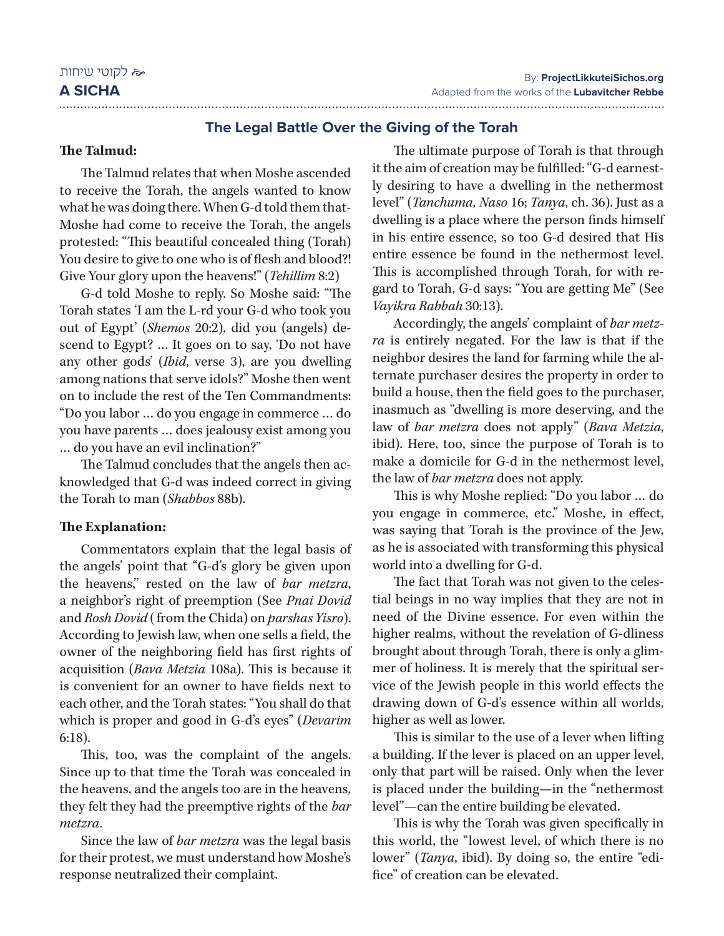## **The Legal Battle Over the Giving of the Torah**

#### **The Talmud:**

The Talmud relates that when Moshe ascended to receive the Torah, the angels wanted to know what he was doing there. When G-d told them that-Moshe had come to receive the Torah, the angels protested: "This beautiful concealed thing (Torah) You desire to give to one who is of flesh and blood?! Give Your glory upon the heavens!" (*Tehillim* 8:2)

G-d told Moshe to reply. So Moshe said: "The Torah states 'I am the L-rd your G-d who took you out of Egypt' (*Shemos* 20:2), did you (angels) descend to Egypt? … It goes on to say, 'Do not have any other gods' (*Ibid*, verse 3), are you dwelling among nations that serve idols?" Moshe then went on to include the rest of the Ten Commandments: "Do you labor … do you engage in commerce … do you have parents … does jealousy exist among you … do you have an evil inclination?"

The Talmud concludes that the angels then acknowledged that G-d was indeed correct in giving the Torah to man (*Shabbos* 88b).

#### **The Explanation:**

Commentators explain that the legal basis of the angels' point that "G-d's glory be given upon the heavens,'' rested on the law of *bar metzra*, a neighbor's right of preemption (See *Pnai Dovid* and *Rosh Dovid* ( from the Chida) on *parshas Yisro*). According to Jewish law, when one sells a field, the owner of the neighboring field has first rights of acquisition (*Bava Metzia* 108a). This is because it is convenient for an owner to have fields next to each other, and the Torah states: "You shall do that which is proper and good in G-d's eyes" (*Devarim* 6:18).

This, too, was the complaint of the angels. Since up to that time the Torah was concealed in the heavens, and the angels too are in the heavens, they felt they had the preemptive rights of the *bar metzra*.

Since the law of *bar metzra* was the legal basis for their protest, we must understand how Moshe's response neutralized their complaint.

The ultimate purpose of Torah is that through it the aim of creation may be fulfilled: "G-d earnestly desiring to have a dwelling in the nethermost level" (*Tanchuma, Naso* 16; *Tanya*, ch. 36). Just as a dwelling is a place where the person finds himself in his entire essence, so too G-d desired that His entire essence be found in the nethermost level. This is accomplished through Torah, for with regard to Torah, G-d says: "You are getting Me" (See *Vayikra Rabbah* 30:13).

Accordingly, the angels' complaint of *bar metz‑ ra* is entirely negated. For the law is that if the neighbor desires the land for farming while the alternate purchaser desires the property in order to build a house, then the field goes to the purchaser, inasmuch as "dwelling is more deserving, and the law of *bar metzra* does not apply" (*Bava Metzia*, ibid). Here, too, since the purpose of Torah is to make a domicile for G-d in the nethermost level, the law of *bar metzra* does not apply.

This is why Moshe replied: "Do you labor … do you engage in commerce, etc." Moshe, in effect, was saying that Torah is the province of the Jew, as he is associated with transforming this physical world into a dwelling for G-d.

The fact that Torah was not given to the celestial beings in no way implies that they are not in need of the Divine essence. For even within the higher realms, without the revelation of G-dliness brought about through Torah, there is only a glimmer of holiness. It is merely that the spiritual service of the Jewish people in this world effects the drawing down of G-d's essence within all worlds, higher as well as lower.

This is similar to the use of a lever when lifting a building. If the lever is placed on an upper level, only that part will be raised. Only when the lever is placed under the building—in the "nethermost level"—can the entire building be elevated.

This is why the Torah was given specifically in this world, the "lowest level, of which there is no lower" (*Tanya*, ibid). By doing so, the entire "edifice" of creation can be elevated.